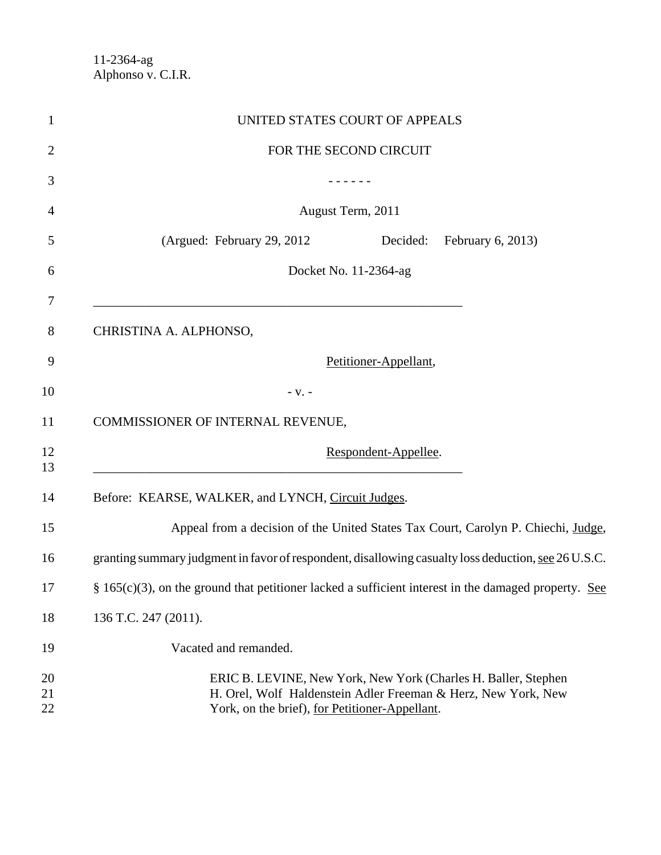|                      |                                                                                                        | UNITED STATES COURT OF APPEALS |                                                                                                                                 |
|----------------------|--------------------------------------------------------------------------------------------------------|--------------------------------|---------------------------------------------------------------------------------------------------------------------------------|
|                      |                                                                                                        | FOR THE SECOND CIRCUIT         |                                                                                                                                 |
|                      |                                                                                                        |                                |                                                                                                                                 |
|                      |                                                                                                        | August Term, 2011              |                                                                                                                                 |
|                      | (Argued: February 29, 2012)                                                                            | Decided:                       | February 6, 2013)                                                                                                               |
|                      |                                                                                                        | Docket No. 11-2364-ag          |                                                                                                                                 |
|                      | CHRISTINA A. ALPHONSO,                                                                                 |                                |                                                                                                                                 |
|                      |                                                                                                        | Petitioner-Appellant,          |                                                                                                                                 |
|                      | $- V. -$                                                                                               |                                |                                                                                                                                 |
|                      | COMMISSIONER OF INTERNAL REVENUE,                                                                      |                                |                                                                                                                                 |
|                      |                                                                                                        | Respondent-Appellee.           |                                                                                                                                 |
|                      | Before: KEARSE, WALKER, and LYNCH, Circuit Judges.                                                     |                                |                                                                                                                                 |
|                      |                                                                                                        |                                | Appeal from a decision of the United States Tax Court, Carolyn P. Chiechi, Judge,                                               |
|                      | granting summary judgment in favor of respondent, disallowing casualty loss deduction, see 26 U.S.C.   |                                |                                                                                                                                 |
|                      | $§$ 165(c)(3), on the ground that petitioner lacked a sufficient interest in the damaged property. See |                                |                                                                                                                                 |
| 136 T.C. 247 (2011). |                                                                                                        |                                |                                                                                                                                 |
|                      | Vacated and remanded.                                                                                  |                                |                                                                                                                                 |
|                      | York, on the brief), for Petitioner-Appellant.                                                         |                                | ERIC B. LEVINE, New York, New York (Charles H. Baller, Stephen<br>H. Orel, Wolf Haldenstein Adler Freeman & Herz, New York, New |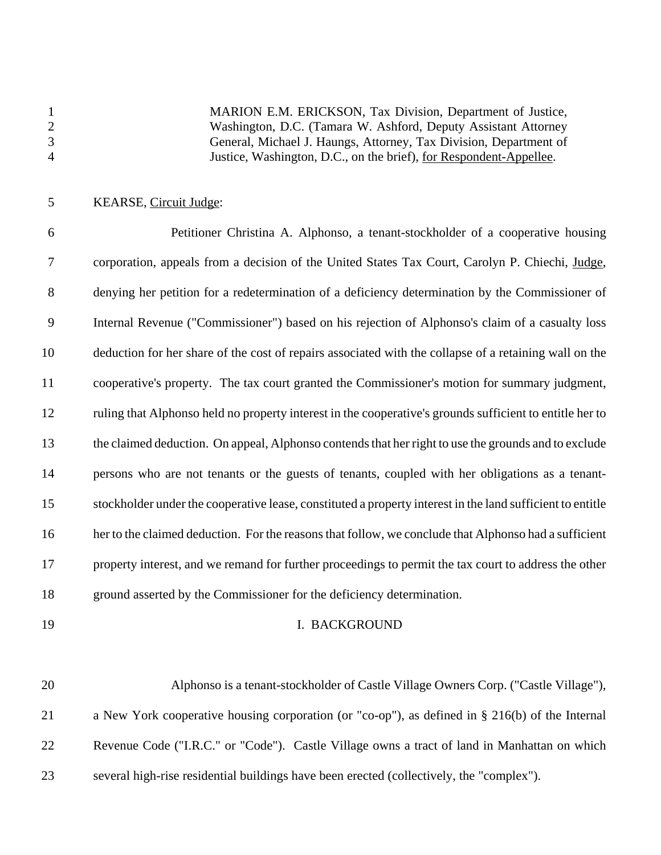MARION E.M. ERICKSON, Tax Division, Department of Justice, Washington, D.C. (Tamara W. Ashford, Deputy Assistant Attorney General, Michael J. Haungs, Attorney, Tax Division, Department of Justice, Washington, D.C., on the brief), for Respondent-Appellee.

### KEARSE, Circuit Judge:

 Petitioner Christina A. Alphonso, a tenant-stockholder of a cooperative housing corporation, appeals from a decision of the United States Tax Court, Carolyn P. Chiechi, Judge, denying her petition for a redetermination of a deficiency determination by the Commissioner of Internal Revenue ("Commissioner") based on his rejection of Alphonso's claim of a casualty loss deduction for her share of the cost of repairs associated with the collapse of a retaining wall on the cooperative's property. The tax court granted the Commissioner's motion for summary judgment, ruling that Alphonso held no property interest in the cooperative's grounds sufficient to entitle her to the claimed deduction. On appeal, Alphonso contends that her right to use the grounds and to exclude persons who are not tenants or the guests of tenants, coupled with her obligations as a tenant- stockholder under the cooperative lease, constituted a property interest in the land sufficient to entitle 16 her to the claimed deduction. For the reasons that follow, we conclude that Alphonso had a sufficient property interest, and we remand for further proceedings to permit the tax court to address the other ground asserted by the Commissioner for the deficiency determination.

#### 19 I. BACKGROUND

 Alphonso is a tenant-stockholder of Castle Village Owners Corp. ("Castle Village"), a New York cooperative housing corporation (or "co-op"), as defined in § 216(b) of the Internal Revenue Code ("I.R.C." or "Code"). Castle Village owns a tract of land in Manhattan on which several high-rise residential buildings have been erected (collectively, the "complex").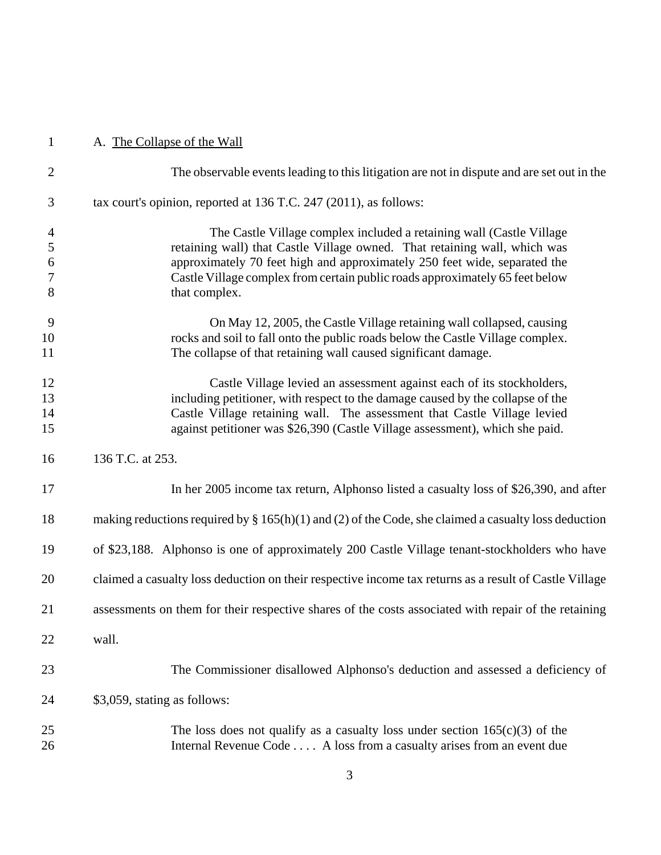# A. The Collapse of the Wall

| $\overline{2}$                                  | The observable events leading to this litigation are not in dispute and are set out in the                                                                                                                                                                                                                                      |
|-------------------------------------------------|---------------------------------------------------------------------------------------------------------------------------------------------------------------------------------------------------------------------------------------------------------------------------------------------------------------------------------|
| 3                                               | tax court's opinion, reported at 136 T.C. 247 (2011), as follows:                                                                                                                                                                                                                                                               |
| $\overline{4}$<br>5<br>6<br>$\overline{7}$<br>8 | The Castle Village complex included a retaining wall (Castle Village<br>retaining wall) that Castle Village owned. That retaining wall, which was<br>approximately 70 feet high and approximately 250 feet wide, separated the<br>Castle Village complex from certain public roads approximately 65 feet below<br>that complex. |
| 9<br>10<br>11                                   | On May 12, 2005, the Castle Village retaining wall collapsed, causing<br>rocks and soil to fall onto the public roads below the Castle Village complex.<br>The collapse of that retaining wall caused significant damage.                                                                                                       |
| 12<br>13<br>14<br>15                            | Castle Village levied an assessment against each of its stockholders,<br>including petitioner, with respect to the damage caused by the collapse of the<br>Castle Village retaining wall. The assessment that Castle Village levied<br>against petitioner was \$26,390 (Castle Village assessment), which she paid.             |
| 16                                              | 136 T.C. at 253.                                                                                                                                                                                                                                                                                                                |
| 17                                              | In her 2005 income tax return, Alphonso listed a casualty loss of \$26,390, and after                                                                                                                                                                                                                                           |
| 18                                              | making reductions required by $\S 165(h)(1)$ and (2) of the Code, she claimed a casualty loss deduction                                                                                                                                                                                                                         |
| 19                                              | of \$23,188. Alphonso is one of approximately 200 Castle Village tenant-stockholders who have                                                                                                                                                                                                                                   |
| 20                                              | claimed a casualty loss deduction on their respective income tax returns as a result of Castle Village                                                                                                                                                                                                                          |
| 21                                              | assessments on them for their respective shares of the costs associated with repair of the retaining                                                                                                                                                                                                                            |
| 22                                              | wall.                                                                                                                                                                                                                                                                                                                           |
| 23                                              | The Commissioner disallowed Alphonso's deduction and assessed a deficiency of                                                                                                                                                                                                                                                   |
| 24                                              | \$3,059, stating as follows:                                                                                                                                                                                                                                                                                                    |
| 25<br>26                                        | The loss does not qualify as a casualty loss under section $165(c)(3)$ of the<br>Internal Revenue Code A loss from a casualty arises from an event due                                                                                                                                                                          |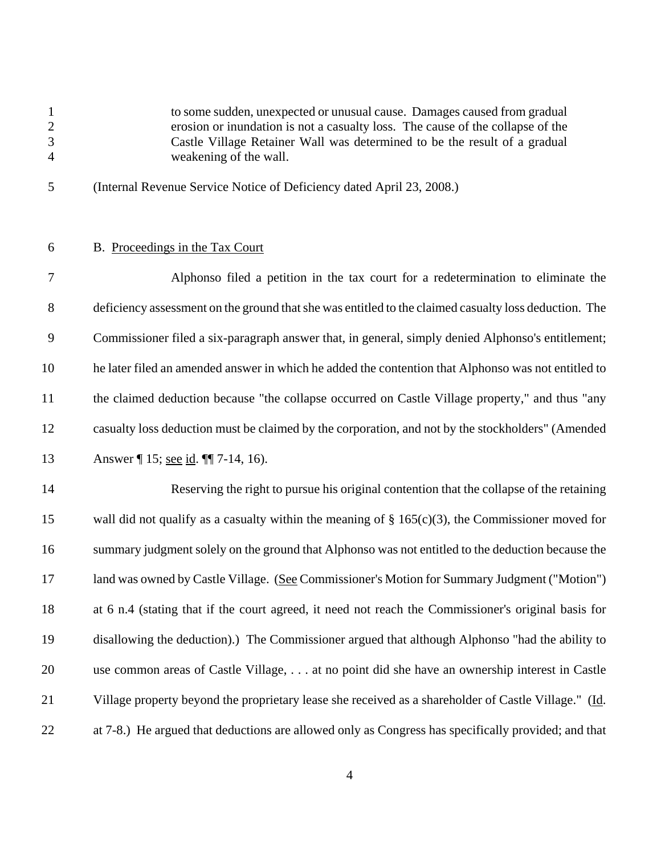to some sudden, unexpected or unusual cause. Damages caused from gradual erosion or inundation is not a casualty loss. The cause of the collapse of the Castle Village Retainer Wall was determined to be the result of a gradual weakening of the wall.

- (Internal Revenue Service Notice of Deficiency dated April 23, 2008.)
- 

## B. Proceedings in the Tax Court

 Alphonso filed a petition in the tax court for a redetermination to eliminate the deficiency assessment on the ground that she was entitled to the claimed casualty loss deduction. The Commissioner filed a six-paragraph answer that, in general, simply denied Alphonso's entitlement; he later filed an amended answer in which he added the contention that Alphonso was not entitled to the claimed deduction because "the collapse occurred on Castle Village property," and thus "any casualty loss deduction must be claimed by the corporation, and not by the stockholders" (Amended Answer ¶ 15; see id. ¶¶ 7-14, 16).

 Reserving the right to pursue his original contention that the collapse of the retaining 15 wall did not qualify as a casualty within the meaning of § 165(c)(3), the Commissioner moved for summary judgment solely on the ground that Alphonso was not entitled to the deduction because the 17 land was owned by Castle Village. (See Commissioner's Motion for Summary Judgment ("Motion") at 6 n.4 (stating that if the court agreed, it need not reach the Commissioner's original basis for disallowing the deduction).) The Commissioner argued that although Alphonso "had the ability to use common areas of Castle Village, . . . at no point did she have an ownership interest in Castle 21 Village property beyond the proprietary lease she received as a shareholder of Castle Village." (Id. at 7-8.) He argued that deductions are allowed only as Congress has specifically provided; and that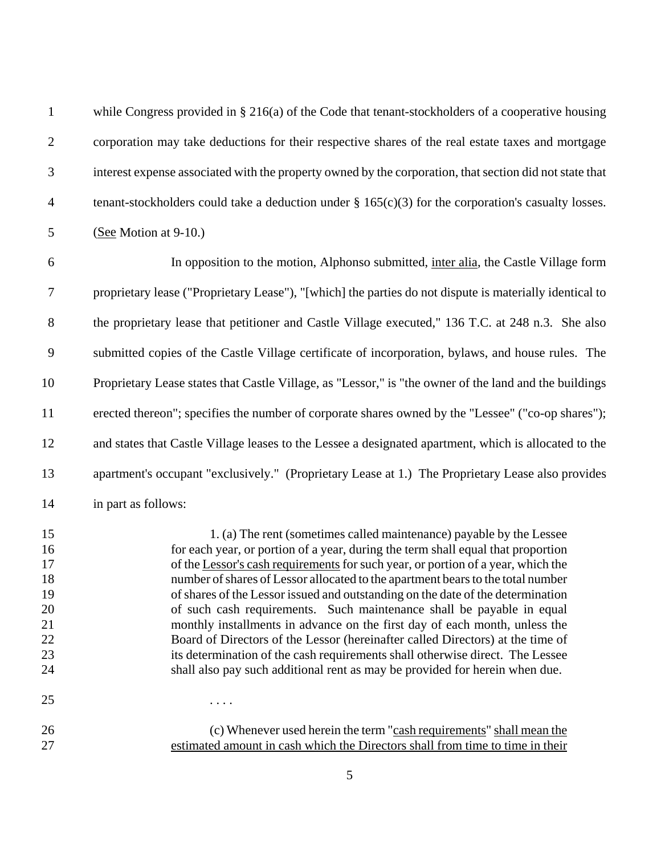| $\mathbf{1}$                                             | while Congress provided in § 216(a) of the Code that tenant-stockholders of a cooperative housing                                                                                                                                                                                                                                                                                                                                                                                                                                                                                                                                                                                                                                                                                                                           |
|----------------------------------------------------------|-----------------------------------------------------------------------------------------------------------------------------------------------------------------------------------------------------------------------------------------------------------------------------------------------------------------------------------------------------------------------------------------------------------------------------------------------------------------------------------------------------------------------------------------------------------------------------------------------------------------------------------------------------------------------------------------------------------------------------------------------------------------------------------------------------------------------------|
| $\overline{2}$                                           | corporation may take deductions for their respective shares of the real estate taxes and mortgage                                                                                                                                                                                                                                                                                                                                                                                                                                                                                                                                                                                                                                                                                                                           |
| 3                                                        | interest expense associated with the property owned by the corporation, that section did not state that                                                                                                                                                                                                                                                                                                                                                                                                                                                                                                                                                                                                                                                                                                                     |
| $\overline{4}$                                           | tenant-stockholders could take a deduction under $\S 165(c)(3)$ for the corporation's casualty losses.                                                                                                                                                                                                                                                                                                                                                                                                                                                                                                                                                                                                                                                                                                                      |
| 5                                                        | (See Motion at 9-10.)                                                                                                                                                                                                                                                                                                                                                                                                                                                                                                                                                                                                                                                                                                                                                                                                       |
| 6                                                        | In opposition to the motion, Alphonso submitted, inter alia, the Castle Village form                                                                                                                                                                                                                                                                                                                                                                                                                                                                                                                                                                                                                                                                                                                                        |
| $\tau$                                                   | proprietary lease ("Proprietary Lease"), "[which] the parties do not dispute is materially identical to                                                                                                                                                                                                                                                                                                                                                                                                                                                                                                                                                                                                                                                                                                                     |
| 8                                                        | the proprietary lease that petitioner and Castle Village executed," 136 T.C. at 248 n.3. She also                                                                                                                                                                                                                                                                                                                                                                                                                                                                                                                                                                                                                                                                                                                           |
| 9                                                        | submitted copies of the Castle Village certificate of incorporation, bylaws, and house rules. The                                                                                                                                                                                                                                                                                                                                                                                                                                                                                                                                                                                                                                                                                                                           |
| 10                                                       | Proprietary Lease states that Castle Village, as "Lessor," is "the owner of the land and the buildings                                                                                                                                                                                                                                                                                                                                                                                                                                                                                                                                                                                                                                                                                                                      |
| 11                                                       | erected thereon"; specifies the number of corporate shares owned by the "Lessee" ("co-op shares");                                                                                                                                                                                                                                                                                                                                                                                                                                                                                                                                                                                                                                                                                                                          |
| 12                                                       | and states that Castle Village leases to the Lessee a designated apartment, which is allocated to the                                                                                                                                                                                                                                                                                                                                                                                                                                                                                                                                                                                                                                                                                                                       |
| 13                                                       | apartment's occupant "exclusively." (Proprietary Lease at 1.) The Proprietary Lease also provides                                                                                                                                                                                                                                                                                                                                                                                                                                                                                                                                                                                                                                                                                                                           |
| 14                                                       | in part as follows:                                                                                                                                                                                                                                                                                                                                                                                                                                                                                                                                                                                                                                                                                                                                                                                                         |
| 15<br>16<br>17<br>18<br>19<br>20<br>21<br>22<br>23<br>24 | 1. (a) The rent (sometimes called maintenance) payable by the Lessee<br>for each year, or portion of a year, during the term shall equal that proportion<br>of the Lessor's cash requirements for such year, or portion of a year, which the<br>number of shares of Lessor allocated to the apartment bears to the total number<br>of shares of the Lessor issued and outstanding on the date of the determination<br>of such cash requirements. Such maintenance shall be payable in equal<br>monthly installments in advance on the first day of each month, unless the<br>Board of Directors of the Lessor (hereinafter called Directors) at the time of<br>its determination of the cash requirements shall otherwise direct. The Lessee<br>shall also pay such additional rent as may be provided for herein when due. |
| 25                                                       | $\cdots$                                                                                                                                                                                                                                                                                                                                                                                                                                                                                                                                                                                                                                                                                                                                                                                                                    |
| 26<br>27                                                 | (c) Whenever used herein the term "cash requirements" shall mean the<br>estimated amount in cash which the Directors shall from time to time in their                                                                                                                                                                                                                                                                                                                                                                                                                                                                                                                                                                                                                                                                       |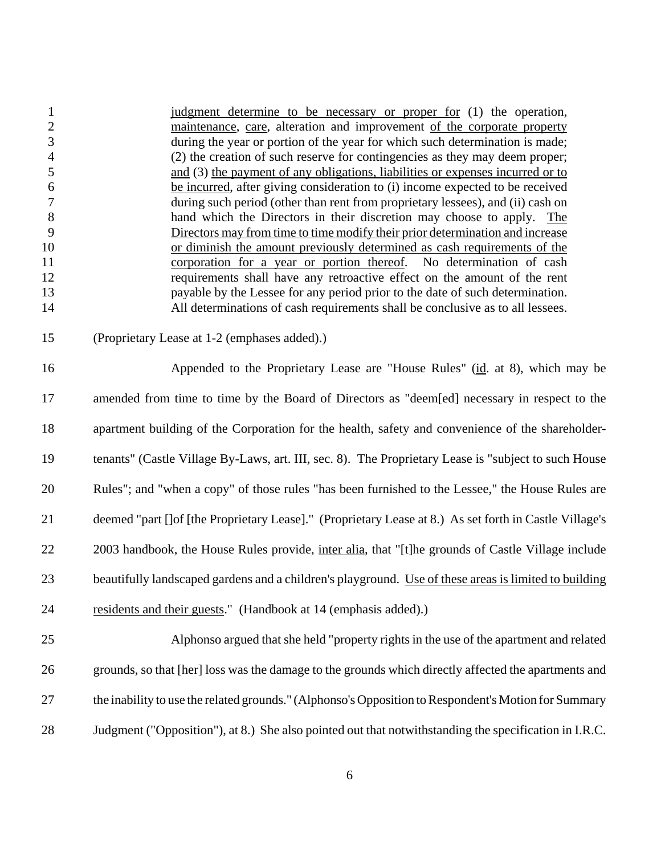| $\mathbf{1}$     | judgment determine to be necessary or proper for (1) the operation,                                     |
|------------------|---------------------------------------------------------------------------------------------------------|
| $\overline{c}$   | maintenance, care, alteration and improvement of the corporate property                                 |
| 3                | during the year or portion of the year for which such determination is made;                            |
| $\overline{4}$   | (2) the creation of such reserve for contingencies as they may deem proper;                             |
| 5                | and (3) the payment of any obligations, liabilities or expenses incurred or to                          |
| $\boldsymbol{6}$ | be incurred, after giving consideration to (i) income expected to be received                           |
| $\boldsymbol{7}$ | during such period (other than rent from proprietary lessees), and (ii) cash on                         |
| $\,8\,$          | hand which the Directors in their discretion may choose to apply. The                                   |
| 9                | Directors may from time to time modify their prior determination and increase                           |
| 10               | or diminish the amount previously determined as cash requirements of the                                |
| 11               | corporation for a year or portion thereof. No determination of cash                                     |
| 12               | requirements shall have any retroactive effect on the amount of the rent                                |
| 13               | payable by the Lessee for any period prior to the date of such determination.                           |
| 14               | All determinations of cash requirements shall be conclusive as to all lessees.                          |
| 15               | (Proprietary Lease at 1-2 (emphases added).)                                                            |
| 16               | Appended to the Proprietary Lease are "House Rules" (id. at 8), which may be                            |
| 17               | amended from time to time by the Board of Directors as "deem[ed] necessary in respect to the            |
| 18               | apartment building of the Corporation for the health, safety and convenience of the shareholder-        |
| 19               | tenants" (Castle Village By-Laws, art. III, sec. 8). The Proprietary Lease is "subject to such House    |
| 20               | Rules"; and "when a copy" of those rules "has been furnished to the Lessee," the House Rules are        |
| 21               | deemed "part [] of [the Proprietary Lease]." (Proprietary Lease at 8.) As set forth in Castle Village's |
| 22               | 2003 handbook, the House Rules provide, inter alia, that "[t]he grounds of Castle Village include       |
| 23               | beautifully landscaped gardens and a children's playground. Use of these areas is limited to building   |
| 24               | residents and their guests." (Handbook at 14 (emphasis added).)                                         |
| 25               | Alphonso argued that she held "property rights in the use of the apartment and related                  |
| 26               | grounds, so that [her] loss was the damage to the grounds which directly affected the apartments and    |
| 27               | the inability to use the related grounds." (Alphonso's Opposition to Respondent's Motion for Summary    |

Judgment ("Opposition"), at 8.) She also pointed out that notwithstanding the specification in I.R.C.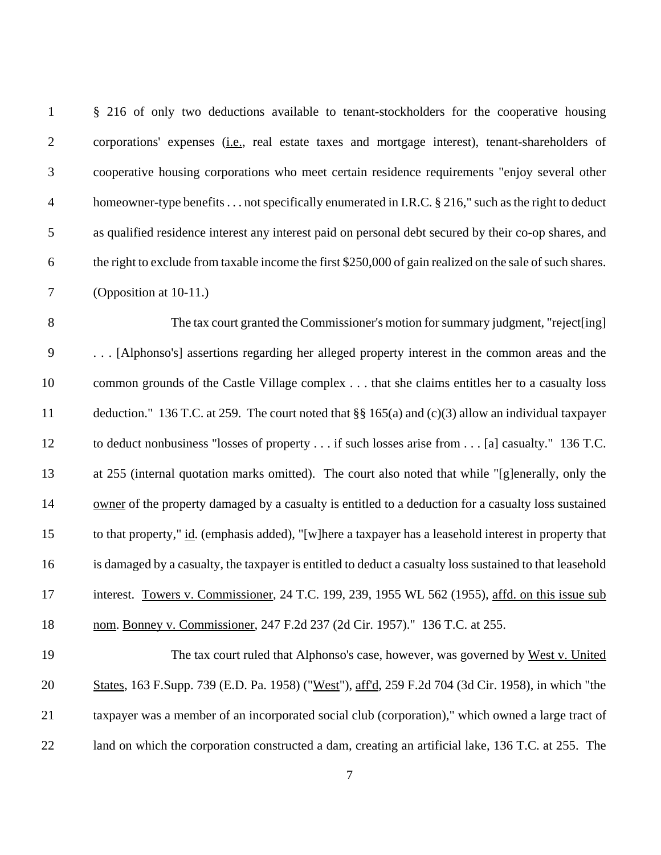| $\mathbf{1}$   | § 216 of only two deductions available to tenant-stockholders for the cooperative housing                 |
|----------------|-----------------------------------------------------------------------------------------------------------|
| $\overline{2}$ | corporations' expenses ( <i>i.e.</i> , real estate taxes and mortgage interest), tenant-shareholders of   |
| 3              | cooperative housing corporations who meet certain residence requirements "enjoy several other             |
| $\overline{4}$ | homeowner-type benefits not specifically enumerated in I.R.C. § 216," such as the right to deduct         |
| $\mathfrak{S}$ | as qualified residence interest any interest paid on personal debt secured by their co-op shares, and     |
| 6              | the right to exclude from taxable income the first \$250,000 of gain realized on the sale of such shares. |
| $\tau$         | (Opposition at 10-11.)                                                                                    |
| $8\,$          | The tax court granted the Commissioner's motion for summary judgment, "reject[ing]                        |
| $\mathbf{9}$   | [Alphonso's] assertions regarding her alleged property interest in the common areas and the               |
| 10             | common grounds of the Castle Village complex that she claims entitles her to a casualty loss              |
| 11             | deduction." 136 T.C. at 259. The court noted that $\S$ 165(a) and (c)(3) allow an individual taxpayer     |
| 12             | to deduct nonbusiness "losses of property if such losses arise from [a] casualty." 136 T.C.               |
| 13             | at 255 (internal quotation marks omitted). The court also noted that while "[g]enerally, only the         |
| 14             | owner of the property damaged by a casualty is entitled to a deduction for a casualty loss sustained      |
| 15             | to that property," id. (emphasis added), "[w]here a taxpayer has a leasehold interest in property that    |
| 16             | is damaged by a casualty, the taxpayer is entitled to deduct a casualty loss sustained to that leasehold  |
| 17             | interest. Towers v. Commissioner, 24 T.C. 199, 239, 1955 WL 562 (1955), affd. on this issue sub           |
| 18             | nom. Bonney v. Commissioner, 247 F.2d 237 (2d Cir. 1957)." 136 T.C. at 255.                               |
| 19             | The tax court ruled that Alphonso's case, however, was governed by West v. United                         |
| 20             | States, 163 F.Supp. 739 (E.D. Pa. 1958) ("West"), aff'd, 259 F.2d 704 (3d Cir. 1958), in which "the       |
| 21             | taxpayer was a member of an incorporated social club (corporation)," which owned a large tract of         |
| 22             | land on which the corporation constructed a dam, creating an artificial lake, 136 T.C. at 255. The        |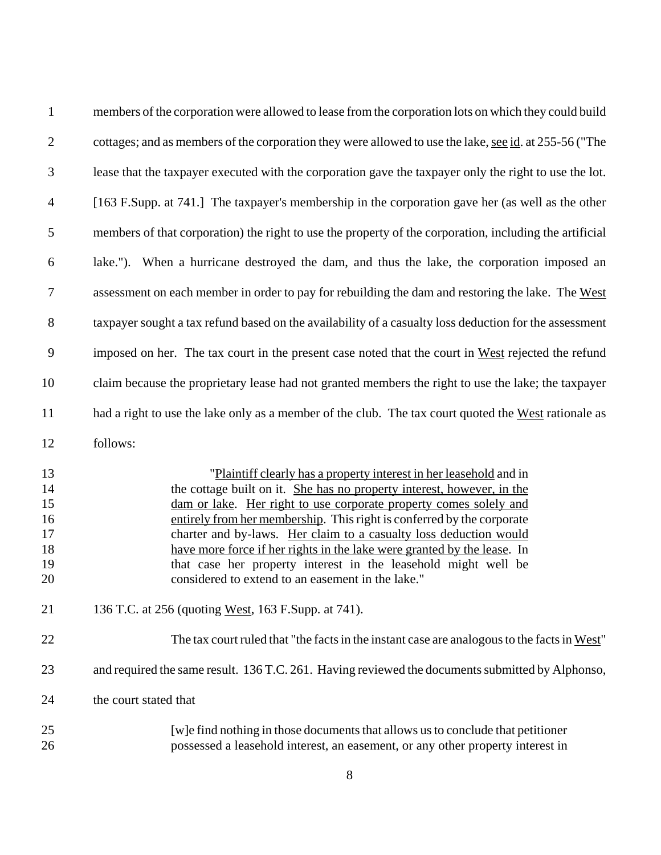| $\mathbf{1}$                                 | members of the corporation were allowed to lease from the corporation lots on which they could build                                                                                                                                                                                                                                                                                                                                                                                                                                                               |
|----------------------------------------------|--------------------------------------------------------------------------------------------------------------------------------------------------------------------------------------------------------------------------------------------------------------------------------------------------------------------------------------------------------------------------------------------------------------------------------------------------------------------------------------------------------------------------------------------------------------------|
| $\overline{2}$                               | cottages; and as members of the corporation they were allowed to use the lake, see id. at 255-56 ("The                                                                                                                                                                                                                                                                                                                                                                                                                                                             |
| 3                                            | lease that the taxpayer executed with the corporation gave the taxpayer only the right to use the lot.                                                                                                                                                                                                                                                                                                                                                                                                                                                             |
| $\overline{4}$                               | [163 F.Supp. at 741.] The taxpayer's membership in the corporation gave her (as well as the other                                                                                                                                                                                                                                                                                                                                                                                                                                                                  |
| 5                                            | members of that corporation) the right to use the property of the corporation, including the artificial                                                                                                                                                                                                                                                                                                                                                                                                                                                            |
| 6                                            | lake."). When a hurricane destroyed the dam, and thus the lake, the corporation imposed an                                                                                                                                                                                                                                                                                                                                                                                                                                                                         |
| $\tau$                                       | assessment on each member in order to pay for rebuilding the dam and restoring the lake. The West                                                                                                                                                                                                                                                                                                                                                                                                                                                                  |
| 8                                            | taxpayer sought a tax refund based on the availability of a casualty loss deduction for the assessment                                                                                                                                                                                                                                                                                                                                                                                                                                                             |
| 9                                            | imposed on her. The tax court in the present case noted that the court in West rejected the refund                                                                                                                                                                                                                                                                                                                                                                                                                                                                 |
| 10                                           | claim because the proprietary lease had not granted members the right to use the lake; the taxpayer                                                                                                                                                                                                                                                                                                                                                                                                                                                                |
| 11                                           | had a right to use the lake only as a member of the club. The tax court quoted the West rationale as                                                                                                                                                                                                                                                                                                                                                                                                                                                               |
| 12                                           | follows:                                                                                                                                                                                                                                                                                                                                                                                                                                                                                                                                                           |
| 13<br>14<br>15<br>16<br>17<br>18<br>19<br>20 | "Plaintiff clearly has a property interest in her leasehold and in<br>the cottage built on it. She has no property interest, however, in the<br>dam or lake. Her right to use corporate property comes solely and<br>entirely from her membership. This right is conferred by the corporate<br>charter and by-laws. Her claim to a casualty loss deduction would<br>have more force if her rights in the lake were granted by the lease. In<br>that case her property interest in the leasehold might well be<br>considered to extend to an easement in the lake." |
| 21                                           | 136 T.C. at 256 (quoting West, 163 F.Supp. at 741).                                                                                                                                                                                                                                                                                                                                                                                                                                                                                                                |
| 22                                           | The tax court ruled that "the facts in the instant case are analogous to the facts in West"                                                                                                                                                                                                                                                                                                                                                                                                                                                                        |
| 23                                           | and required the same result. 136 T.C. 261. Having reviewed the documents submitted by Alphonso,                                                                                                                                                                                                                                                                                                                                                                                                                                                                   |
| 24                                           | the court stated that                                                                                                                                                                                                                                                                                                                                                                                                                                                                                                                                              |
| 25<br>26                                     | [w] e find nothing in those documents that allows us to conclude that petitioner<br>possessed a leasehold interest, an easement, or any other property interest in                                                                                                                                                                                                                                                                                                                                                                                                 |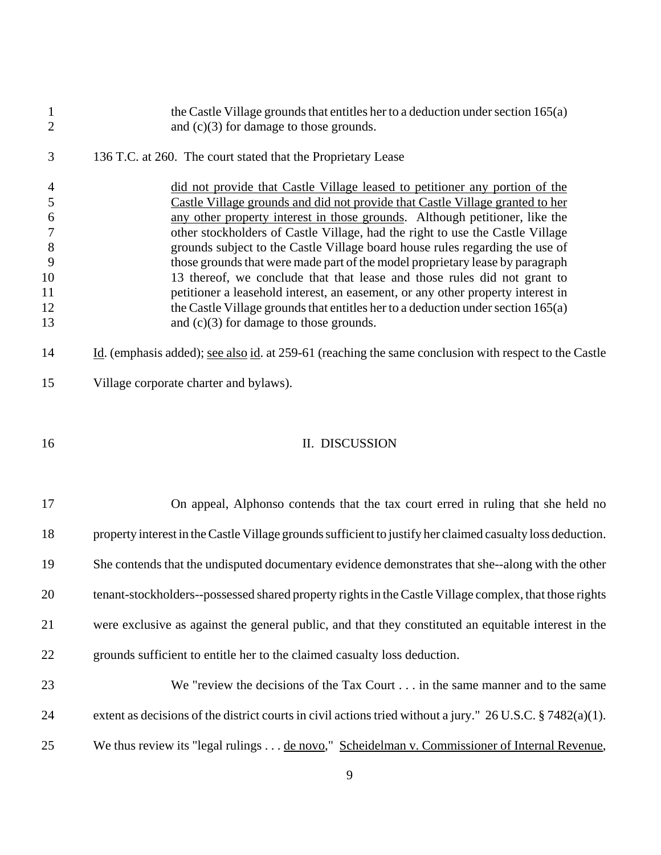| $\mathbf{1}$                   | the Castle Village grounds that entitles her to a deduction under section $165(a)$                                                                           |
|--------------------------------|--------------------------------------------------------------------------------------------------------------------------------------------------------------|
| $\overline{2}$                 | and $(c)(3)$ for damage to those grounds.                                                                                                                    |
| 3                              | 136 T.C. at 260. The court stated that the Proprietary Lease                                                                                                 |
| $\overline{4}$                 | did not provide that Castle Village leased to petitioner any portion of the                                                                                  |
| $\mathfrak{S}$                 | Castle Village grounds and did not provide that Castle Village granted to her                                                                                |
| $\sqrt{6}$<br>$\boldsymbol{7}$ | any other property interest in those grounds. Although petitioner, like the<br>other stockholders of Castle Village, had the right to use the Castle Village |
| $8\,$                          | grounds subject to the Castle Village board house rules regarding the use of                                                                                 |
| 9                              | those grounds that were made part of the model proprietary lease by paragraph                                                                                |
| 10                             | 13 thereof, we conclude that that lease and those rules did not grant to                                                                                     |
| 11                             | petitioner a leasehold interest, an easement, or any other property interest in                                                                              |
| 12                             | the Castle Village grounds that entitles her to a deduction under section 165(a)                                                                             |
| 13                             | and $(c)(3)$ for damage to those grounds.                                                                                                                    |
| 14                             | Id. (emphasis added); <u>see also id</u> . at 259-61 (reaching the same conclusion with respect to the Castle                                                |
| 15                             | Village corporate charter and bylaws).                                                                                                                       |
|                                |                                                                                                                                                              |
| 16                             | II. DISCUSSION                                                                                                                                               |
|                                |                                                                                                                                                              |
| 17                             | On appeal, Alphonso contends that the tax court erred in ruling that she held no                                                                             |
| 18                             | property interest in the Castle Village grounds sufficient to justify her claimed casualty loss deduction.                                                   |
| 19                             | She contends that the undisputed documentary evidence demonstrates that she--along with the other                                                            |
| 20                             | tenant-stockholders--possessed shared property rights in the Castle Village complex, that those rights                                                       |
| 21                             | were exclusive as against the general public, and that they constituted an equitable interest in the                                                         |
| 22                             | grounds sufficient to entitle her to the claimed casualty loss deduction.                                                                                    |
| 23                             | We "review the decisions of the Tax Court in the same manner and to the same                                                                                 |
| 24                             | extent as decisions of the district courts in civil actions tried without a jury." $26$ U.S.C. § 7482(a)(1).                                                 |
| 25                             |                                                                                                                                                              |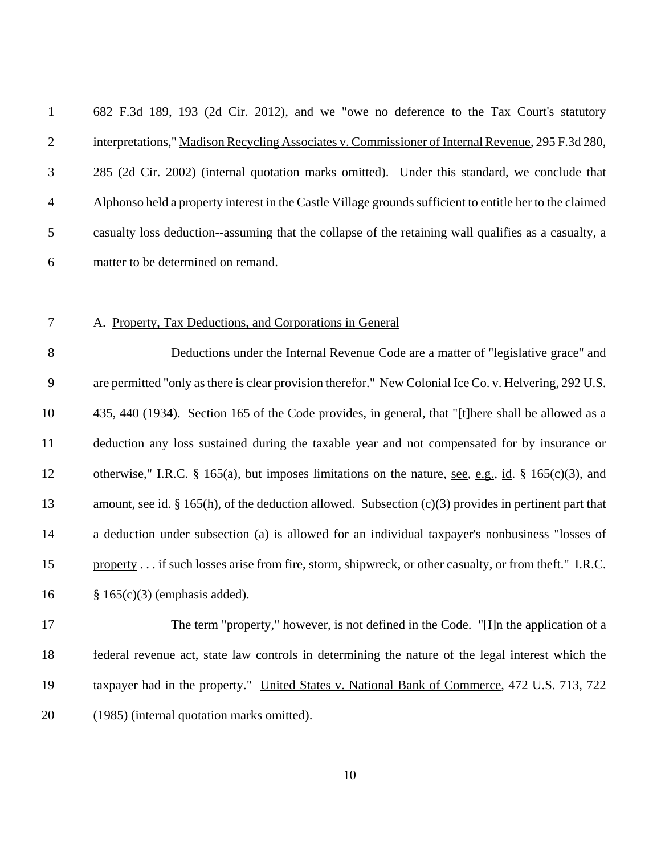682 F.3d 189, 193 (2d Cir. 2012), and we "owe no deference to the Tax Court's statutory interpretations," Madison Recycling Associates v. Commissioner of Internal Revenue, 295 F.3d 280, 285 (2d Cir. 2002) (internal quotation marks omitted). Under this standard, we conclude that Alphonso held a property interest in the Castle Village grounds sufficient to entitle her to the claimed casualty loss deduction--assuming that the collapse of the retaining wall qualifies as a casualty, a matter to be determined on remand.

#### A. Property, Tax Deductions, and Corporations in General

 Deductions under the Internal Revenue Code are a matter of "legislative grace" and are permitted "only as there is clear provision therefor." New Colonial Ice Co. v. Helvering, 292 U.S. 435, 440 (1934). Section 165 of the Code provides, in general, that "[t]here shall be allowed as a deduction any loss sustained during the taxable year and not compensated for by insurance or otherwise," I.R.C. § 165(a), but imposes limitations on the nature, see, e.g., id. § 165(c)(3), and amount, see id. § 165(h), of the deduction allowed. Subsection (c)(3) provides in pertinent part that 14 a deduction under subsection (a) is allowed for an individual taxpayer's nonbusiness "losses of 15 property . . . if such losses arise from fire, storm, shipwreck, or other casualty, or from theft." I.R.C. § 165(c)(3) (emphasis added).

 The term "property," however, is not defined in the Code. "[I]n the application of a federal revenue act, state law controls in determining the nature of the legal interest which the taxpayer had in the property." United States v. National Bank of Commerce, 472 U.S. 713, 722 (1985) (internal quotation marks omitted).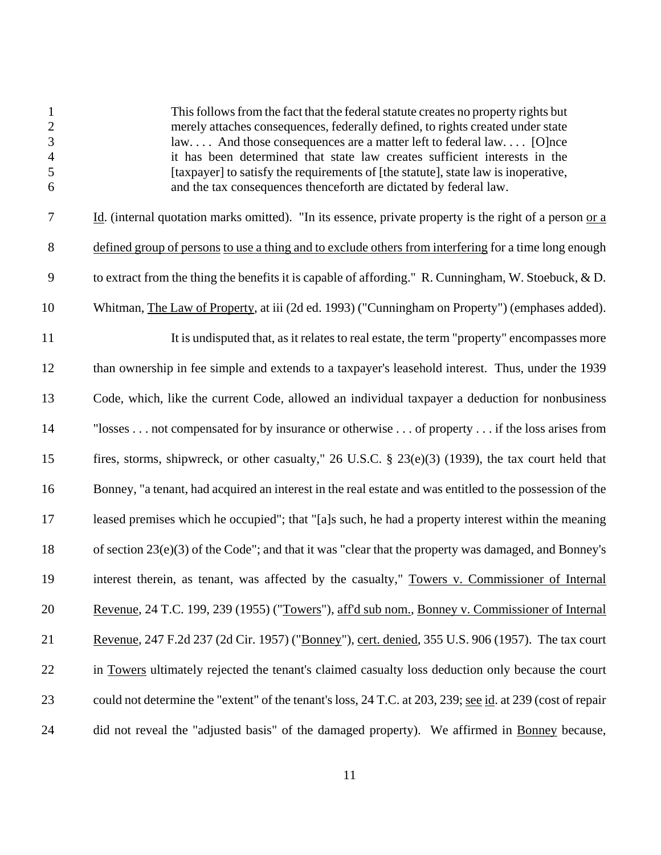This follows from the fact that the federal statute creates no property rights but merely attaches consequences, federally defined, to rights created under state law. . . . And those consequences are a matter left to federal law. . . . [O]nce it has been determined that state law creates sufficient interests in the [taxpayer] to satisfy the requirements of [the statute], state law is inoperative, and the tax consequences thenceforth are dictated by federal law. 7 Id. (internal quotation marks omitted). "In its essence, private property is the right of a person or a defined group of persons to use a thing and to exclude others from interfering for a time long enough to extract from the thing the benefits it is capable of affording." R. Cunningham, W. Stoebuck, & D. Whitman, The Law of Property, at iii (2d ed. 1993) ("Cunningham on Property") (emphases added). 11 It is undisputed that, as it relates to real estate, the term "property" encompasses more than ownership in fee simple and extends to a taxpayer's leasehold interest. Thus, under the 1939 Code, which, like the current Code, allowed an individual taxpayer a deduction for nonbusiness "losses . . . not compensated for by insurance or otherwise . . . of property . . . if the loss arises from fires, storms, shipwreck, or other casualty," 26 U.S.C. § 23(e)(3) (1939), the tax court held that Bonney, "a tenant, had acquired an interest in the real estate and was entitled to the possession of the leased premises which he occupied"; that "[a]s such, he had a property interest within the meaning of section 23(e)(3) of the Code"; and that it was "clear that the property was damaged, and Bonney's interest therein, as tenant, was affected by the casualty," Towers v. Commissioner of Internal Revenue, 24 T.C. 199, 239 (1955) ("Towers"), aff'd sub nom., Bonney v. Commissioner of Internal Revenue, 247 F.2d 237 (2d Cir. 1957) ("Bonney"), cert. denied, 355 U.S. 906 (1957). The tax court in Towers ultimately rejected the tenant's claimed casualty loss deduction only because the court 23 could not determine the "extent" of the tenant's loss, 24 T.C. at 203, 239; <u>see id</u>. at 239 (cost of repair 24 did not reveal the "adjusted basis" of the damaged property). We affirmed in Bonney because,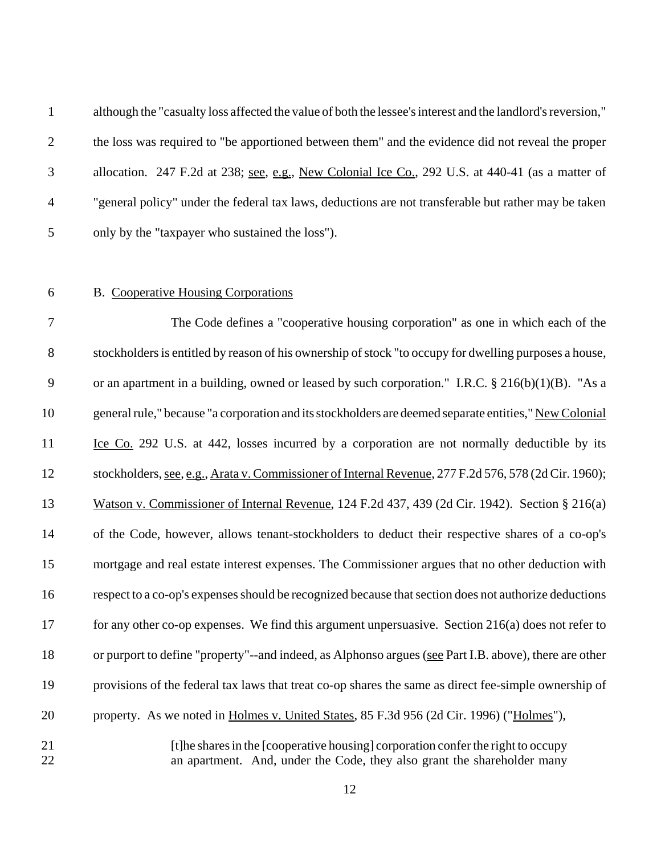although the "casualty loss affected the value of both the lessee's interest and the landlord's reversion," the loss was required to "be apportioned between them" and the evidence did not reveal the proper 3 allocation. 247 F.2d at 238; see, e.g., New Colonial Ice Co., 292 U.S. at 440-41 (as a matter of "general policy" under the federal tax laws, deductions are not transferable but rather may be taken only by the "taxpayer who sustained the loss").

## B. Cooperative Housing Corporations

 The Code defines a "cooperative housing corporation" as one in which each of the stockholders is entitled by reason of his ownership of stock "to occupy for dwelling purposes a house, 9 or an apartment in a building, owned or leased by such corporation." I.R.C.  $\S 216(b)(1)(B)$ . "As a general rule," because "a corporation and its stockholders are deemed separate entities," New Colonial 11 Lee Co. 292 U.S. at 442, losses incurred by a corporation are not normally deductible by its stockholders, see, e.g., Arata v. Commissioner of Internal Revenue, 277 F.2d 576, 578 (2d Cir. 1960); Watson v. Commissioner of Internal Revenue, 124 F.2d 437, 439 (2d Cir. 1942). Section § 216(a) of the Code, however, allows tenant-stockholders to deduct their respective shares of a co-op's mortgage and real estate interest expenses. The Commissioner argues that no other deduction with respect to a co-op's expenses should be recognized because that section does not authorize deductions for any other co-op expenses. We find this argument unpersuasive. Section 216(a) does not refer to or purport to define "property"--and indeed, as Alphonso argues (see Part I.B. above), there are other provisions of the federal tax laws that treat co-op shares the same as direct fee-simple ownership of property. As we noted in Holmes v. United States, 85 F.3d 956 (2d Cir. 1996) ("Holmes"), **Example 3** [t]he shares in the [cooperative housing] corporation confer the right to occupy

an apartment. And, under the Code, they also grant the shareholder many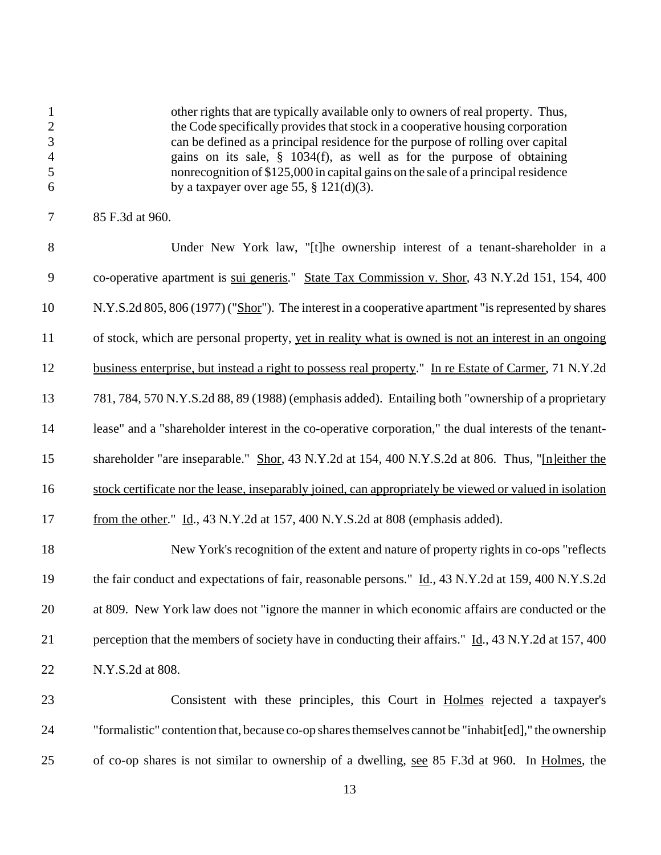other rights that are typically available only to owners of real property. Thus, 2 the Code specifically provides that stock in a cooperative housing corporation can be defined as a principal residence for the purpose of rolling over capital gains on its sale, § 1034(f), as well as for the purpose of obtaining nonrecognition of \$125,000 in capital gains on the sale of a principal residence 6 by a taxpayer over age 55,  $\S$  121(d)(3).

 Under New York law, "[t]he ownership interest of a tenant-shareholder in a co-operative apartment is sui generis." State Tax Commission v. Shor, 43 N.Y.2d 151, 154, 400 N.Y.S.2d 805, 806 (1977) ("Shor"). The interest in a cooperative apartment "is represented by shares of stock, which are personal property, yet in reality what is owned is not an interest in an ongoing business enterprise, but instead a right to possess real property." In re Estate of Carmer, 71 N.Y.2d 781, 784, 570 N.Y.S.2d 88, 89 (1988) (emphasis added). Entailing both "ownership of a proprietary lease" and a "shareholder interest in the co-operative corporation," the dual interests of the tenant- shareholder "are inseparable." Shor, 43 N.Y.2d at 154, 400 N.Y.S.2d at 806. Thus, "[n]either the stock certificate nor the lease, inseparably joined, can appropriately be viewed or valued in isolation 17 from the other." Id., 43 N.Y.2d at 157, 400 N.Y.S.2d at 808 (emphasis added).

 New York's recognition of the extent and nature of property rights in co-ops "reflects 19 the fair conduct and expectations of fair, reasonable persons." Id., 43 N.Y.2d at 159, 400 N.Y.S.2d at 809. New York law does not "ignore the manner in which economic affairs are conducted or the perception that the members of society have in conducting their affairs." Id., 43 N.Y.2d at 157, 400 N.Y.S.2d at 808.

 Consistent with these principles, this Court in Holmes rejected a taxpayer's "formalistic" contention that, because co-op shares themselves cannot be "inhabit[ed]," the ownership of co-op shares is not similar to ownership of a dwelling, see 85 F.3d at 960. In Holmes, the

85 F.3d at 960.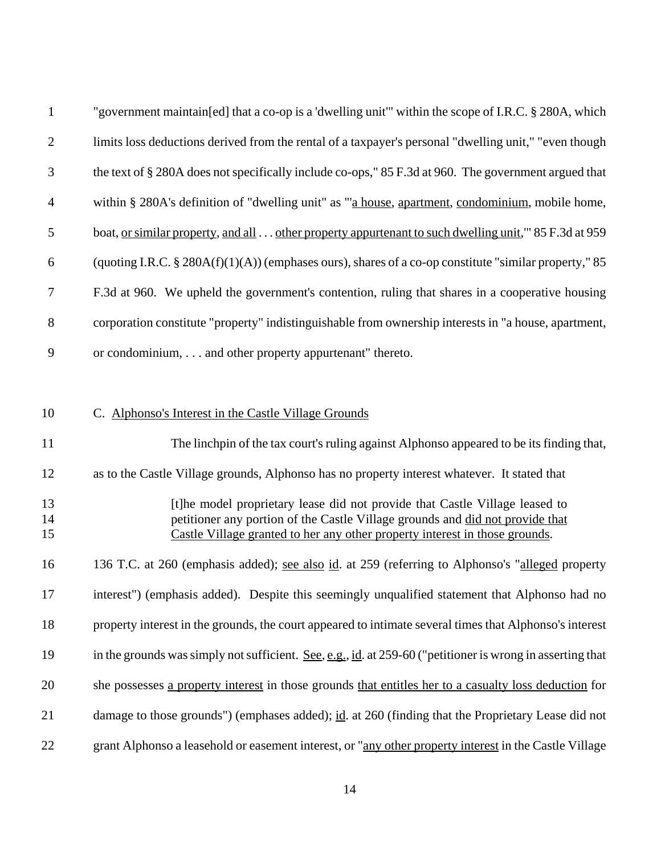| $\mathbf{1}$     | "government maintain [ed] that a co-op is a 'dwelling unit'" within the scope of I.R.C. § 280A, which                                                        |
|------------------|--------------------------------------------------------------------------------------------------------------------------------------------------------------|
| $\overline{2}$   | limits loss deductions derived from the rental of a taxpayer's personal "dwelling unit," "even though                                                        |
| 3                | the text of § 280A does not specifically include co-ops," 85 F.3d at 960. The government argued that                                                         |
| $\overline{4}$   | within § 280A's definition of "dwelling unit" as "'a house, apartment, condominium, mobile home,                                                             |
| 5                | boat, <u>or similar property</u> , and all other property appurtenant to such dwelling unit," 85 F.3d at 959                                                 |
| 6                | (quoting I.R.C. § 280A(f)(1)(A)) (emphases ours), shares of a co-op constitute "similar property," 85                                                        |
| $\boldsymbol{7}$ | F.3d at 960. We upheld the government's contention, ruling that shares in a cooperative housing                                                              |
| 8                | corporation constitute "property" indistinguishable from ownership interests in "a house, apartment,                                                         |
| 9                | or condominium, and other property appurtenant" thereto.                                                                                                     |
|                  |                                                                                                                                                              |
| 10               | C. Alphonso's Interest in the Castle Village Grounds                                                                                                         |
| 11               | The linchpin of the tax court's ruling against Alphonso appeared to be its finding that,                                                                     |
| 12               | as to the Castle Village grounds, Alphonso has no property interest whatever. It stated that                                                                 |
| 13               | [t] he model proprietary lease did not provide that Castle Village leased to                                                                                 |
| 14<br>15         | petitioner any portion of the Castle Village grounds and did not provide that<br>Castle Village granted to her any other property interest in those grounds. |
| 16               | 136 T.C. at 260 (emphasis added); <u>see also id</u> . at 259 (referring to Alphonso's "alleged property                                                     |
| 17               | interest") (emphasis added). Despite this seemingly unqualified statement that Alphonso had no                                                               |
| 18               | property interest in the grounds, the court appeared to intimate several times that Alphonso's interest                                                      |
| 19               | in the grounds was simply not sufficient. See, e.g., id. at 259-60 ("petitioner is wrong in asserting that                                                   |
| 20               | she possesses a property interest in those grounds that entitles her to a casualty loss deduction for                                                        |
| 21               | damage to those grounds") (emphases added); id. at 260 (finding that the Proprietary Lease did not                                                           |
| 22               | grant Alphonso a leasehold or easement interest, or "any other property interest in the Castle Village                                                       |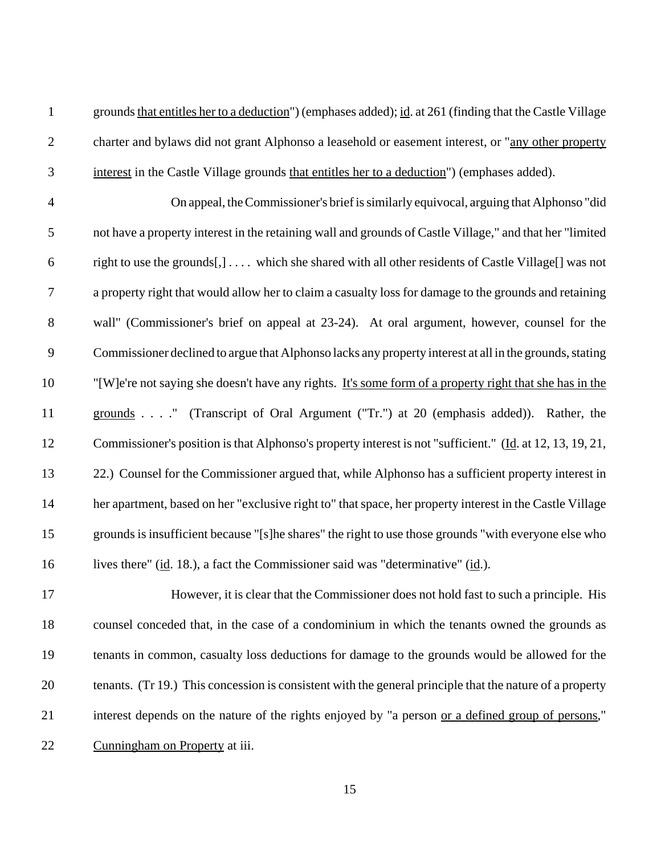grounds that entitles her to a deduction") (emphases added); id. at 261 (finding that the Castle Village 2 charter and bylaws did not grant Alphonso a leasehold or easement interest, or "any other property interest in the Castle Village grounds that entitles her to a deduction") (emphases added).

 On appeal, the Commissioner's brief is similarly equivocal, arguing that Alphonso "did not have a property interest in the retaining wall and grounds of Castle Village," and that her "limited right to use the grounds[,] . . . . which she shared with all other residents of Castle Village[] was not a property right that would allow her to claim a casualty loss for damage to the grounds and retaining wall" (Commissioner's brief on appeal at 23-24). At oral argument, however, counsel for the Commissioner declined to argue that Alphonso lacks any property interest at all in the grounds, stating "[W]e're not saying she doesn't have any rights. It's some form of a property right that she has in the grounds . . . ." (Transcript of Oral Argument ("Tr.") at 20 (emphasis added)). Rather, the Commissioner's position is that Alphonso's property interest is not "sufficient." (Id. at 12, 13, 19, 21, 22.) Counsel for the Commissioner argued that, while Alphonso has a sufficient property interest in her apartment, based on her "exclusive right to" that space, her property interest in the Castle Village grounds is insufficient because "[s]he shares" the right to use those grounds "with everyone else who 16 lives there" (id. 18.), a fact the Commissioner said was "determinative" (id.).

 However, it is clear that the Commissioner does not hold fast to such a principle. His counsel conceded that, in the case of a condominium in which the tenants owned the grounds as tenants in common, casualty loss deductions for damage to the grounds would be allowed for the tenants. (Tr 19.) This concession is consistent with the general principle that the nature of a property interest depends on the nature of the rights enjoyed by "a person or a defined group of persons," Cunningham on Property at iii.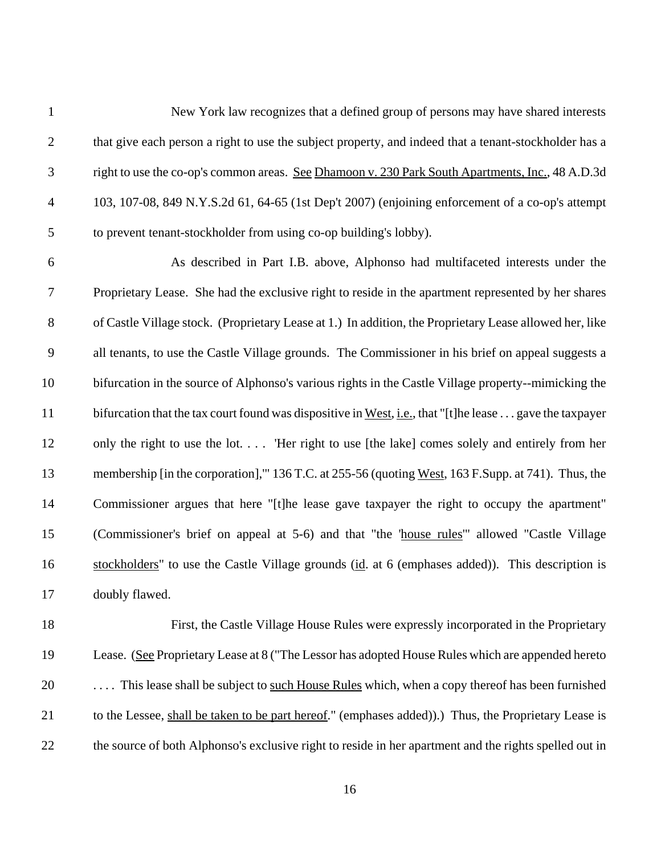New York law recognizes that a defined group of persons may have shared interests 2 that give each person a right to use the subject property, and indeed that a tenant-stockholder has a right to use the co-op's common areas. See Dhamoon v. 230 Park South Apartments, Inc., 48 A.D.3d 103, 107-08, 849 N.Y.S.2d 61, 64-65 (1st Dep't 2007) (enjoining enforcement of a co-op's attempt to prevent tenant-stockholder from using co-op building's lobby).

 As described in Part I.B. above, Alphonso had multifaceted interests under the Proprietary Lease. She had the exclusive right to reside in the apartment represented by her shares of Castle Village stock. (Proprietary Lease at 1.) In addition, the Proprietary Lease allowed her, like all tenants, to use the Castle Village grounds. The Commissioner in his brief on appeal suggests a bifurcation in the source of Alphonso's various rights in the Castle Village property--mimicking the 11 bifurcation that the tax court found was dispositive in West, i.e., that "[t]he lease . . . gave the taxpayer only the right to use the lot. . . . 'Her right to use [the lake] comes solely and entirely from her membership [in the corporation],'" 136 T.C. at 255-56 (quoting West, 163 F.Supp. at 741). Thus, the Commissioner argues that here "[t]he lease gave taxpayer the right to occupy the apartment" (Commissioner's brief on appeal at 5-6) and that "the 'house rules'" allowed "Castle Village 16 stockholders" to use the Castle Village grounds (id. at 6 (emphases added)). This description is doubly flawed.

 First, the Castle Village House Rules were expressly incorporated in the Proprietary Lease. (See Proprietary Lease at 8 ("The Lessor has adopted House Rules which are appended hereto . . . . This lease shall be subject to such House Rules which, when a copy thereof has been furnished to the Lessee, shall be taken to be part hereof." (emphases added)).) Thus, the Proprietary Lease is the source of both Alphonso's exclusive right to reside in her apartment and the rights spelled out in